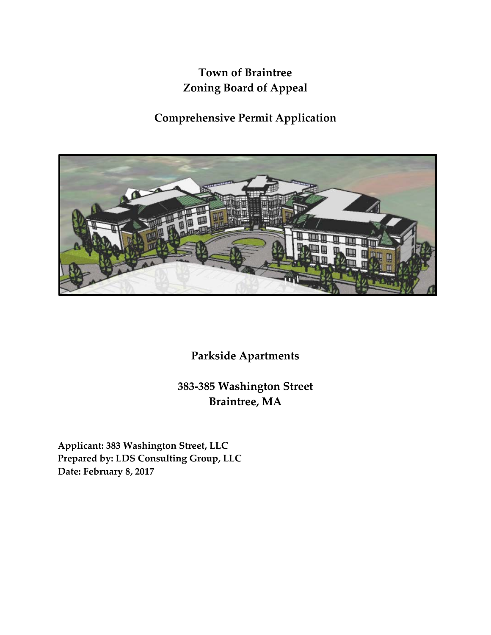## **Town of Braintree Zoning Board of Appeal**

**Comprehensive Permit Application**



**Parkside Apartments**

**383-385 Washington Street Braintree, MA**

**Applicant: 383 Washington Street, LLC Prepared by: LDS Consulting Group, LLC Date: February 8, 2017**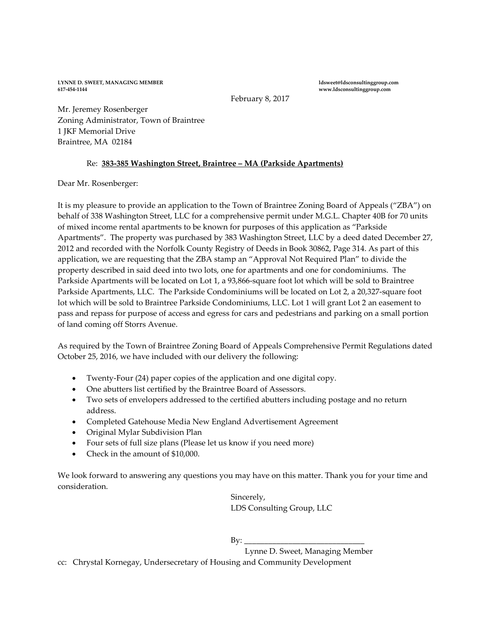**LYNNE D. SWEET, MANAGING MEMBER ldsweet@ldsconsultinggroup.com**

**617-454-1144 www.ldsconsultinggroup.com**

February 8, 2017

Mr. Jeremey Rosenberger Zoning Administrator, Town of Braintree 1 JKF Memorial Drive Braintree, MA 02184

## Re: **383-385 Washington Street, Braintree – MA (Parkside Apartments)**

Dear Mr. Rosenberger:

It is my pleasure to provide an application to the Town of Braintree Zoning Board of Appeals ("ZBA") on behalf of 338 Washington Street, LLC for a comprehensive permit under M.G.L. Chapter 40B for 70 units of mixed income rental apartments to be known for purposes of this application as "Parkside Apartments". The property was purchased by 383 Washington Street, LLC by a deed dated December 27, 2012 and recorded with the Norfolk County Registry of Deeds in Book 30862, Page 314. As part of this application, we are requesting that the ZBA stamp an "Approval Not Required Plan" to divide the property described in said deed into two lots, one for apartments and one for condominiums. The Parkside Apartments will be located on Lot 1, a 93,866-square foot lot which will be sold to Braintree Parkside Apartments, LLC. The Parkside Condominiums will be located on Lot 2, a 20,327-square foot lot which will be sold to Braintree Parkside Condominiums, LLC. Lot 1 will grant Lot 2 an easement to pass and repass for purpose of access and egress for cars and pedestrians and parking on a small portion of land coming off Storrs Avenue.

As required by the Town of Braintree Zoning Board of Appeals Comprehensive Permit Regulations dated October 25, 2016, we have included with our delivery the following:

- Twenty-Four (24) paper copies of the application and one digital copy.
- One abutters list certified by the Braintree Board of Assessors.
- Two sets of envelopers addressed to the certified abutters including postage and no return address.
- Completed Gatehouse Media New England Advertisement Agreement
- Original Mylar Subdivision Plan
- Four sets of full size plans (Please let us know if you need more)
- Check in the amount of \$10,000.

We look forward to answering any questions you may have on this matter. Thank you for your time and consideration.

> Sincerely, LDS Consulting Group, LLC

 $By:$ 

Lynne D. Sweet, Managing Member

cc: Chrystal Kornegay, Undersecretary of Housing and Community Development